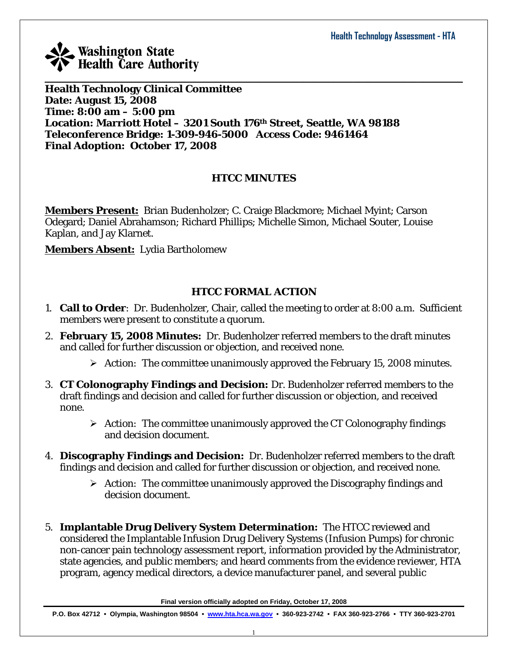

**Health Technology Clinical Committee Date: August 15, 2008 Time: 8:00 am – 5:00 pm Location: Marriott Hotel – 3201 South 176th Street, Seattle, WA 98188 Teleconference Bridge: 1-309-946-5000 Access Code: 9461464 Final Adoption: October 17, 2008** 

### **HTCC MINUTES**

 $\_$  , and the set of the set of the set of the set of the set of the set of the set of the set of the set of the set of the set of the set of the set of the set of the set of the set of the set of the set of the set of th

**Members Present:** Brian Budenholzer; C. Craige Blackmore; Michael Myint; Carson Odegard; Daniel Abrahamson; Richard Phillips; Michelle Simon, Michael Souter, Louise Kaplan, and Jay Klarnet.

**Members Absent:** Lydia Bartholomew

### **HTCC FORMAL ACTION**

- 1. **Call to Order**: Dr. Budenholzer, Chair, called the meeting to order at 8:00 a.m. Sufficient members were present to constitute a quorum.
- 2. **February 15, 2008 Minutes:** Dr. Budenholzer referred members to the draft minutes and called for further discussion or objection, and received none.
	- ¾ *Action:* The committee unanimously approved the February 15, 2008 minutes.
- 3. **CT Colonography Findings and Decision:** Dr. Budenholzer referred members to the draft findings and decision and called for further discussion or objection, and received none.
	- ¾ *Action:* The committee unanimously approved the CT Colonography findings and decision document.
- 4. **Discography Findings and Decision:** Dr. Budenholzer referred members to the draft findings and decision and called for further discussion or objection, and received none.
	- ¾ *Action:* The committee unanimously approved the Discography findings and decision document.
- 5. **Implantable Drug Delivery System Determination:** The HTCC reviewed and considered the Implantable Infusion Drug Delivery Systems (Infusion Pumps) for chronic non-cancer pain technology assessment report, information provided by the Administrator, state agencies, and public members; and heard comments from the evidence reviewer, HTA program, agency medical directors, a device manufacturer panel, and several public

**Final version officially adopted on Friday, October 17, 2008**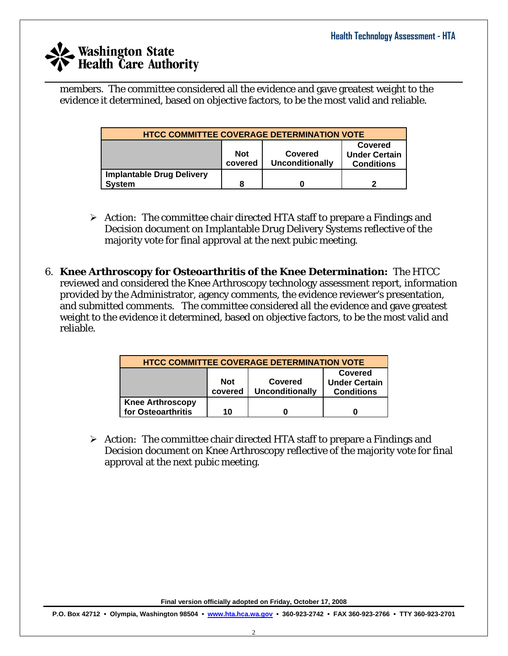$\_$  , and the set of the set of the set of the set of the set of the set of the set of the set of the set of the set of the set of the set of the set of the set of the set of the set of the set of the set of the set of th members. The committee considered all the evidence and gave greatest weight to the evidence it determined, based on objective factors, to be the most valid and reliable.

| <b>HTCC COMMITTEE COVERAGE DETERMINATION VOTE</b>                                                                  |   |  |  |  |
|--------------------------------------------------------------------------------------------------------------------|---|--|--|--|
| Covered<br><b>Not</b><br><b>Under Certain</b><br><b>Covered</b><br>Unconditionally<br>covered<br><b>Conditions</b> |   |  |  |  |
| <b>Implantable Drug Delivery</b><br><b>System</b>                                                                  | 8 |  |  |  |

- ¾ *Action:* The committee chair directed HTA staff to prepare a Findings and Decision document on Implantable Drug Delivery Systems reflective of the majority vote for final approval at the next pubic meeting.
- 6. **Knee Arthroscopy for Osteoarthritis of the Knee Determination:** The HTCC reviewed and considered the Knee Arthroscopy technology assessment report, information provided by the Administrator, agency comments, the evidence reviewer's presentation, and submitted comments. The committee considered all the evidence and gave greatest weight to the evidence it determined, based on objective factors, to be the most valid and reliable.

| <b>HTCC COMMITTEE COVERAGE DETERMINATION VOTE</b>                                                                  |    |  |  |  |
|--------------------------------------------------------------------------------------------------------------------|----|--|--|--|
| Covered<br>Covered<br><b>Not</b><br><b>Under Certain</b><br>covered<br><b>Unconditionally</b><br><b>Conditions</b> |    |  |  |  |
| <b>Knee Arthroscopy</b><br>for Osteoarthritis                                                                      | 10 |  |  |  |

¾ *Action:* The committee chair directed HTA staff to prepare a Findings and Decision document on Knee Arthroscopy reflective of the majority vote for final approval at the next pubic meeting.

**Final version officially adopted on Friday, October 17, 2008**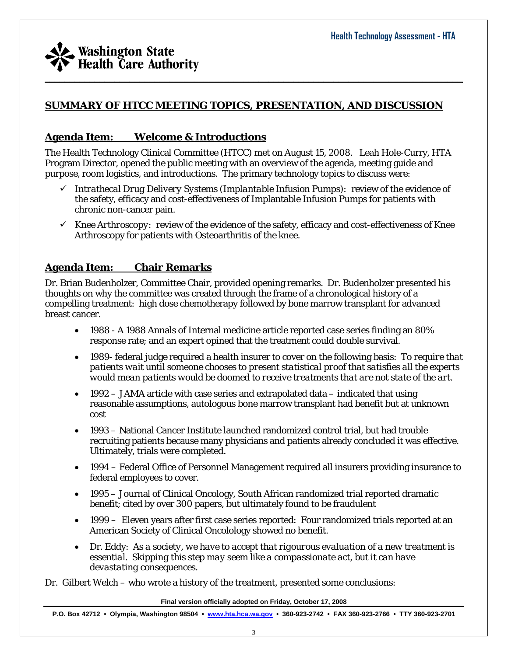

### **SUMMARY OF HTCC MEETING TOPICS, PRESENTATION, AND DISCUSSION**

 $\_$  , and the set of the set of the set of the set of the set of the set of the set of the set of the set of the set of the set of the set of the set of the set of the set of the set of the set of the set of the set of th

#### **Agenda Item: Welcome & Introductions**

The Health Technology Clinical Committee (HTCC) met on August 15, 2008. Leah Hole-Curry, HTA Program Director, opened the public meeting with an overview of the agenda, meeting guide and purpose, room logistics, and introductions. The primary technology topics to discuss were:

- 9 *Intrathecal Drug Delivery Systems (Implantable Infusion Pumps):* review of the evidence of the safety, efficacy and cost-effectiveness of Implantable Infusion Pumps for patients with chronic non-cancer pain.
- $\checkmark$  *Knee Arthroscopy:* review of the evidence of the safety, efficacy and cost-effectiveness of Knee Arthroscopy for patients with Osteoarthritis of the knee.

#### **Agenda Item: Chair Remarks**

Dr. Brian Budenholzer, Committee Chair, provided opening remarks. Dr. Budenholzer presented his thoughts on why the committee was created through the frame of a chronological history of a compelling treatment: high dose chemotherapy followed by bone marrow transplant for advanced breast cancer.

- 1988 A 1988 Annals of Internal medicine article reported case series finding an 80% response rate; and an expert opined that the treatment could double survival.
- 1989- federal judge required a health insurer to cover on the following basis: *To require that patients wait until someone chooses to present statistical proof that satisfies all the experts would mean patients would be doomed to receive treatments that are not state of the art.*
- $1992 JAMA$  article with case series and extrapolated data indicated that using reasonable assumptions, autologous bone marrow transplant had benefit but at unknown cost
- 1993 National Cancer Institute launched randomized control trial, but had trouble recruiting patients because many physicians and patients already concluded it was effective. Ultimately, trials were completed.
- 1994 Federal Office of Personnel Management required all insurers providing insurance to federal employees to cover.
- 1995 Journal of Clinical Oncology, South African randomized trial reported dramatic benefit; cited by over 300 papers, but ultimately found to be fraudulent
- 1999 Eleven years after first case series reported: Four randomized trials reported at an American Society of Clinical Oncolology showed no benefit.
- Dr. Eddy: *As a society, we have to accept that rigourous evaluation of a new treatment is essential. Skipping this step may seem like a compassionate act, but it can have devastating consequences.*

Dr. Gilbert Welch – who wrote a history of the treatment, presented some conclusions:

**Final version officially adopted on Friday, October 17, 2008**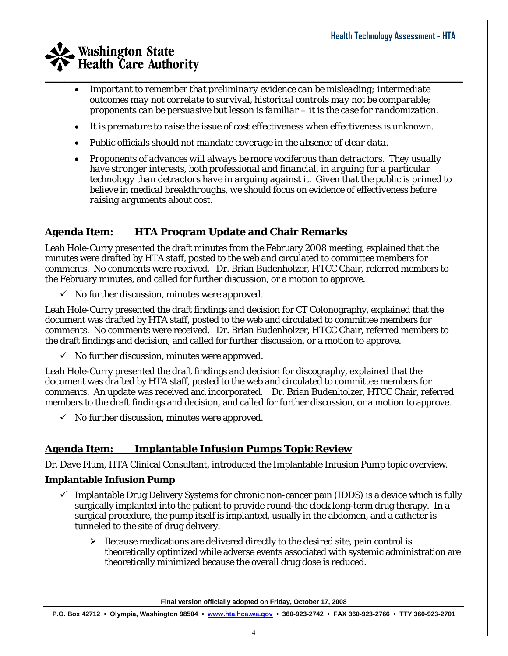- *Important to remember that preliminary evidence can be misleading; intermediate outcomes may not correlate to survival, historical controls may not be comparable; proponents can be persuasive but lesson is familiar – it is the case for randomization.*
- *It is premature to raise the issue of cost effectiveness when effectiveness is unknown.*
- *Public officials should not mandate coverage in the absence of clear data.*
- *Proponents of advances will always be more vociferous than detractors. They usually have stronger interests, both professional and financial, in arguing for a particular technology than detractors have in arguing against it. Given that the public is primed to believe in medical breakthroughs, we should focus on evidence of effectiveness before raising arguments about cost.*

### **Agenda Item: HTA Program Update and Chair Remarks**

Leah Hole-Curry presented the draft minutes from the February 2008 meeting, explained that the minutes were drafted by HTA staff, posted to the web and circulated to committee members for comments. No comments were received. Dr. Brian Budenholzer, HTCC Chair, referred members to the February minutes, and called for further discussion, or a motion to approve.

 $\checkmark$  No further discussion, minutes were approved.

Leah Hole-Curry presented the draft findings and decision for CT Colonography, explained that the document was drafted by HTA staff, posted to the web and circulated to committee members for comments. No comments were received. Dr. Brian Budenholzer, HTCC Chair, referred members to the draft findings and decision, and called for further discussion, or a motion to approve.

 $\checkmark$  No further discussion, minutes were approved.

Leah Hole-Curry presented the draft findings and decision for discography, explained that the document was drafted by HTA staff, posted to the web and circulated to committee members for comments. An update was received and incorporated. Dr. Brian Budenholzer, HTCC Chair, referred members to the draft findings and decision, and called for further discussion, or a motion to approve.

 $\checkmark$  No further discussion, minutes were approved.

### **Agenda Item: Implantable Infusion Pumps Topic Review**

Dr. Dave Flum, HTA Clinical Consultant, introduced the Implantable Infusion Pump topic overview.

### **Implantable Infusion Pump**

- $\checkmark$  Implantable Drug Delivery Systems for chronic non-cancer pain (IDDS) is a device which is fully surgically implanted into the patient to provide round-the clock long-term drug therapy. In a surgical procedure, the pump itself is implanted, usually in the abdomen, and a catheter is tunneled to the site of drug delivery.
	- $\triangleright$  Because medications are delivered directly to the desired site, pain control is theoretically optimized while adverse events associated with systemic administration are theoretically minimized because the overall drug dose is reduced.

**Final version officially adopted on Friday, October 17, 2008**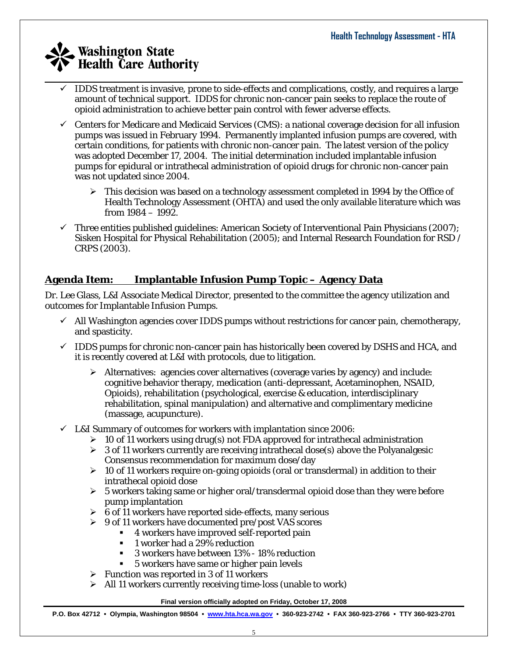- $\_$  , and the set of the set of the set of the set of the set of the set of the set of the set of the set of the set of the set of the set of the set of the set of the set of the set of the set of the set of the set of th 9 IDDS treatment is invasive, prone to side-effects and complications, costly, and requires a large amount of technical support. IDDS for chronic non-cancer pain seeks to replace the route of opioid administration to achieve better pain control with fewer adverse effects.
	- $\checkmark$  Centers for Medicare and Medicaid Services (CMS): a national coverage decision for all infusion pumps was issued in February 1994. Permanently implanted infusion pumps are covered, with certain conditions, for patients with chronic non-cancer pain. The latest version of the policy was adopted December 17, 2004. The initial determination included implantable infusion pumps for epidural or intrathecal administration of opioid drugs for chronic non-cancer pain was not updated since 2004.
		- $\triangleright$  This decision was based on a technology assessment completed in 1994 by the Office of Health Technology Assessment (OHTA) and used the only available literature which was from 1984 – 1992.
	- $\checkmark$  Three entities published guidelines: American Society of Interventional Pain Physicians (2007); Sisken Hospital for Physical Rehabilitation (2005); and Internal Research Foundation for RSD / CRPS (2003).

### **Agenda Item: Implantable Infusion Pump Topic – Agency Data**

Dr. Lee Glass, L&I Associate Medical Director, presented to the committee the agency utilization and outcomes for Implantable Infusion Pumps.

- $\checkmark$  All Washington agencies cover IDDS pumps without restrictions for cancer pain, chemotherapy, and spasticity.
- $\checkmark$  IDDS pumps for chronic non-cancer pain has historically been covered by DSHS and HCA, and it is recently covered at L&I with protocols, due to litigation.
	- $\triangleright$  Alternatives: agencies cover alternatives (coverage varies by agency) and include: cognitive behavior therapy, medication (anti-depressant, Acetaminophen, NSAID, Opioids), rehabilitation (psychological, exercise & education, interdisciplinary rehabilitation, spinal manipulation) and alternative and complimentary medicine (massage, acupuncture).
- $\checkmark$  L&I Summary of outcomes for workers with implantation since 2006:
	- $\geq 10$  of 11 workers using drug(s) not FDA approved for intrathecal administration
	- $\geq 3$  of 11 workers currently are receiving intrathecal dose(s) above the Polyanalgesic Consensus recommendation for maximum dose/day
	- $\geq 10$  of 11 workers require on-going opioids (oral or transdermal) in addition to their intrathecal opioid dose
	- $\geq 5$  workers taking same or higher oral/transdermal opioid dose than they were before pump implantation
	- $\geq 6$  of 11 workers have reported side-effects, many serious
	- ¾ 9 of 11 workers have documented pre/post VAS scores
		- 4 workers have improved self-reported pain
		- 1 worker had a 29% reduction
		- 3 workers have between 13% 18% reduction
		- 5 workers have same or higher pain levels
	- $\triangleright$  Function was reported in 3 of 11 workers
	- $\triangleright$  All 11 workers currently receiving time-loss (unable to work)

**Final version officially adopted on Friday, October 17, 2008**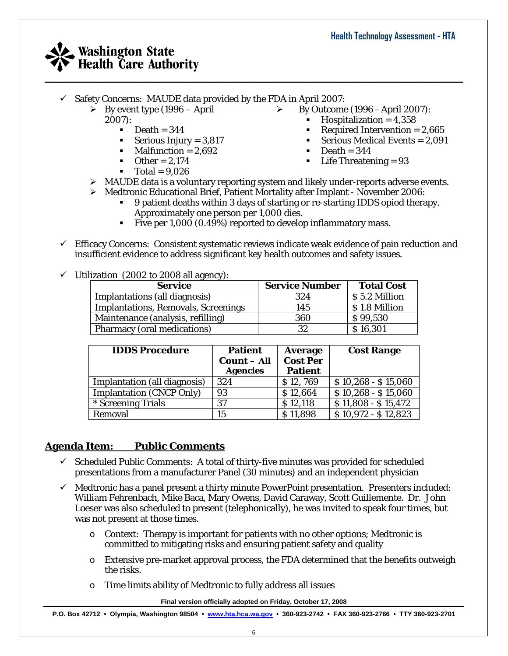- $\checkmark$  Safety Concerns: MAUDE data provided by the FDA in April 2007:
	- $\triangleright$  By event type (1996 April 2007):
		- $\blacksquare$  Death = 344
		- Serious Injury =  $3,817$
		- $\n **Malfunction** = 2,692\n$
		- $\bullet$  Other = 2.174
		- $Total = 9.026$
- ¾ By Outcome (1996 –April 2007):
	- $\blacksquare$  Hospitalization = 4.358
	- Required Intervention =  $2,665$
	- Serious Medical Events  $= 2.091$
	- $Death = 344$
	- $\blacksquare$  Life Threatening = 93
- ¾ MAUDE data is a voluntary reporting system and likely under-reports adverse events.
- ¾ Medtronic Educational Brief, Patient Mortality after Implant November 2006:
	- 9 patient deaths within 3 days of starting or re-starting IDDS opiod therapy. Approximately one person per 1,000 dies.
	- Five per 1,000 (0.49%) reported to develop inflammatory mass.

 $\_$  , and the set of the set of the set of the set of the set of the set of the set of the set of the set of the set of the set of the set of the set of the set of the set of the set of the set of the set of the set of th

- $\checkmark$  Efficacy Concerns: Consistent systematic reviews indicate weak evidence of pain reduction and insufficient evidence to address significant key health outcomes and safety issues.
- $\checkmark$  Utilization (2002 to 2008 all agency):

| <b>Service</b>                             | <b>Service Number</b> | <b>Total Cost</b> |
|--------------------------------------------|-----------------------|-------------------|
| Implantations (all diagnosis)              | 324                   | S 5.2 Million     |
| <b>Implantations, Removals, Screenings</b> | 145                   | S 1.8 Million     |
| Maintenance (analysis, refilling)          | 360                   | \$99,530          |
| Pharmacy (oral medications)                | 32                    | \$16,301          |

| <b>IDDS Procedure</b>           | <b>Patient</b><br><b>Count</b> – All<br><b>Agencies</b> | <b>Average</b><br><b>Cost Per</b><br><b>Patient</b> | <b>Cost Range</b>   |
|---------------------------------|---------------------------------------------------------|-----------------------------------------------------|---------------------|
| Implantation (all diagnosis)    | 324                                                     | \$12,769                                            | $$10,268 - $15,060$ |
| <b>Implantation (CNCP Only)</b> | 93                                                      | \$12,664                                            | $$10,268 - $15,060$ |
| * Screening Trials              | 37                                                      | \$12,118                                            | $$11,808 - $15,472$ |
| Removal                         | 15                                                      | \$11,898                                            | $$10,972 - $12,823$ |

### **Agenda Item: Public Comments**

- $\checkmark$  Scheduled Public Comments: A total of thirty-five minutes was provided for scheduled presentations from a manufacturer Panel (30 minutes) and an independent physician
- $\checkmark$  Medtronic has a panel present a thirty minute PowerPoint presentation. Presenters included: William Fehrenbach, Mike Baca, Mary Owens, David Caraway, Scott Guillemente. Dr. John Loeser was also scheduled to present (telephonically), he was invited to speak four times, but was not present at those times.
	- $\circ$  Context: Therapy is important for patients with no other options; Medtronic is committed to mitigating risks and ensuring patient safety and quality
	- o Extensive pre-market approval process, the FDA determined that the benefits outweigh the risks.
	- o Time limits ability of Medtronic to fully address all issues

**Final version officially adopted on Friday, October 17, 2008**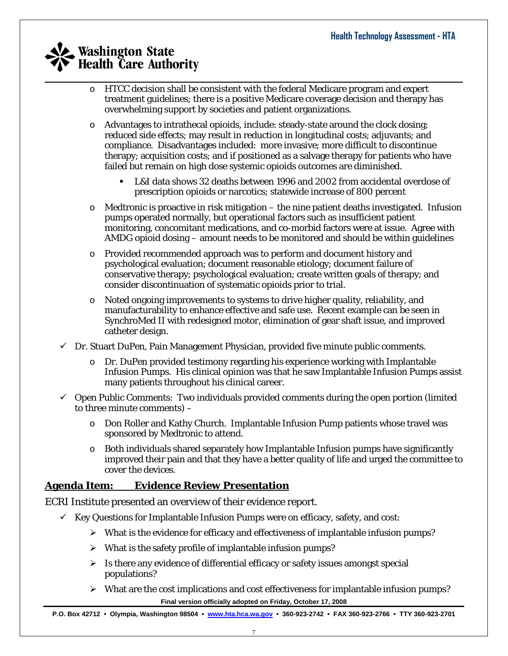- $\circ$  HTCC decision shall be consistent with the federal Medicare program and expert treatment guidelines; there is a positive Medicare coverage decision and therapy has overwhelming support by societies and patient organizations.
- o Advantages to intrathecal opioids, include: steady-state around the clock dosing; reduced side effects; may result in reduction in longitudinal costs; adjuvants; and compliance. Disadvantages included: more invasive; more difficult to discontinue therapy; acquisition costs; and if positioned as a salvage therapy for patients who have failed but remain on high dose systemic opioids outcomes are diminished.
	- L&I data shows 32 deaths between 1996 and 2002 from accidental overdose of prescription opioids or narcotics; statewide increase of 800 percent
- $\circ$  Medtronic is proactive in risk mitigation the nine patient deaths investigated. Infusion pumps operated normally, but operational factors such as insufficient patient monitoring, concomitant medications, and co-morbid factors were at issue. Agree with AMDG opioid dosing – amount needs to be monitored and should be within guidelines
- o Provided recommended approach was to perform and document history and psychological evaluation; document reasonable etiology; document failure of conservative therapy; psychological evaluation; create written goals of therapy; and consider discontinuation of systematic opioids prior to trial.
- o Noted ongoing improvements to systems to drive higher quality, reliability, and manufacturability to enhance effective and safe use. Recent example can be seen in SynchroMed II with redesigned motor, elimination of gear shaft issue, and improved catheter design.
- $\checkmark$  Dr. Stuart DuPen, Pain Management Physician, provided five minute public comments.
	- Dr. DuPen provided testimony regarding his experience working with Implantable Infusion Pumps. His clinical opinion was that he saw Implantable Infusion Pumps assist many patients throughout his clinical career.
- $\checkmark$  Open Public Comments: Two individuals provided comments during the open portion (limited to three minute comments) –
	- o Don Roller and Kathy Church. Implantable Infusion Pump patients whose travel was sponsored by Medtronic to attend.
	- $\circ$  Both individuals shared separately how Implantable Infusion pumps have significantly improved their pain and that they have a better quality of life and urged the committee to cover the devices.

### **Agenda Item: Evidence Review Presentation**

ECRI Institute presented an overview of their evidence report.

- $\checkmark$  Key Questions for Implantable Infusion Pumps were on efficacy, safety, and cost:
	- $\triangleright$  What is the evidence for efficacy and effectiveness of implantable infusion pumps?
	- $\triangleright$  What is the safety profile of implantable infusion pumps?
	- $\triangleright$  Is there any evidence of differential efficacy or safety issues amongst special populations?
	- **Final version officially adopted on Friday, October 17, 2008**   $\triangleright$  What are the cost implications and cost effectiveness for implantable infusion pumps?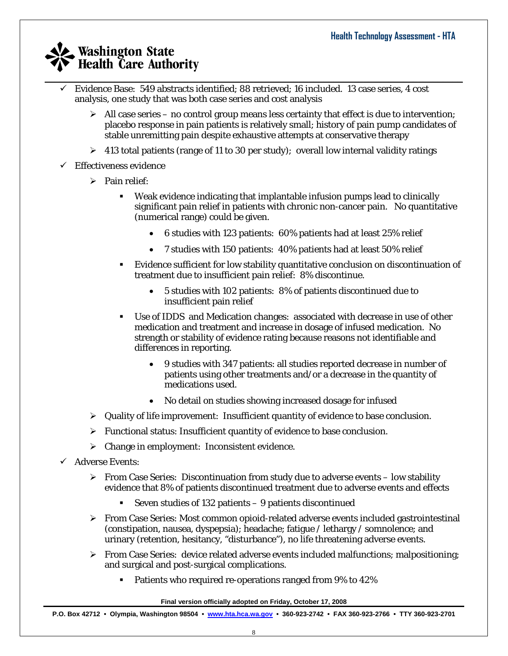- $\_$  , and the set of the set of the set of the set of the set of the set of the set of the set of the set of the set of the set of the set of the set of the set of the set of the set of the set of the set of the set of th 9 Evidence Base: 549 abstracts identified; 88 retrieved; 16 included. 13 case series, 4 cost analysis, one study that was both case series and cost analysis
	- $\triangleright$  All case series no control group means less certainty that effect is due to intervention; placebo response in pain patients is relatively small; history of pain pump candidates of stable unremitting pain despite exhaustive attempts at conservative therapy
	- $\triangleright$  413 total patients (range of 11 to 30 per study); overall low internal validity ratings
	- $\checkmark$  Effectiveness evidence
		- $\triangleright$  Pain relief:
			- Weak evidence indicating that implantable infusion pumps lead to clinically significant pain relief in patients with chronic non-cancer pain. No quantitative (numerical range) could be given.
				- 6 studies with 123 patients: 60% patients had at least 25% relief
				- 7 studies with 150 patients: 40% patients had at least 50% relief
			- Evidence sufficient for low stability quantitative conclusion on discontinuation of treatment due to insufficient pain relief: 8% discontinue.
				- 5 studies with 102 patients: 8% of patients discontinued due to insufficient pain relief
			- Use of IDDS and Medication changes: associated with decrease in use of other medication and treatment and increase in dosage of infused medication. No strength or stability of evidence rating because reasons not identifiable and differences in reporting.
				- 9 studies with 347 patients: all studies reported decrease in number of patients using other treatments and/or a decrease in the quantity of medications used.
				- No detail on studies showing increased dosage for infused
		- $\triangleright$  Quality of life improvement: Insufficient quantity of evidence to base conclusion.
		- $\triangleright$  Functional status: Insufficient quantity of evidence to base conclusion.
		- $\triangleright$  Change in employment: Inconsistent evidence.
	- $\checkmark$  Adverse Events:
		- $\triangleright$  From Case Series: Discontinuation from study due to adverse events low stability evidence that 8% of patients discontinued treatment due to adverse events and effects
			- Seven studies of 132 patients 9 patients discontinued
		- $\triangleright$  From Case Series: Most common opioid-related adverse events included gastrointestinal (constipation, nausea, dyspepsia); headache; fatigue / lethargy / somnolence; and urinary (retention, hesitancy, "disturbance"), no life threatening adverse events.
		- $\triangleright$  From Case Series: device related adverse events included malfunctions; malpositioning; and surgical and post-surgical complications.
			- Patients who required re-operations ranged from 9% to 42%

**Final version officially adopted on Friday, October 17, 2008**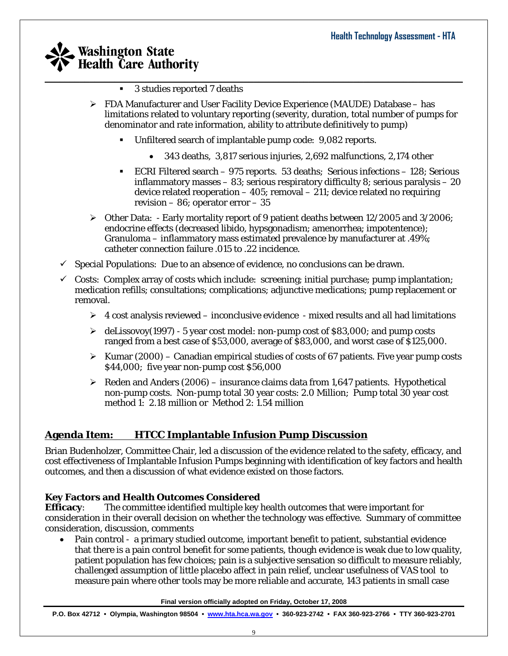- $\_$  , and the set of the set of the set of the set of the set of the set of the set of the set of the set of the set of the set of the set of the set of the set of the set of the set of the set of the set of the set of th ■ 3 studies reported 7 deaths
	- $\triangleright$  FDA Manufacturer and User Facility Device Experience (MAUDE) Database has limitations related to voluntary reporting (severity, duration, total number of pumps for denominator and rate information, ability to attribute definitively to pump)
		- Unfiltered search of implantable pump code: 9,082 reports.
			- 343 deaths, 3,817 serious injuries, 2,692 malfunctions, 2,174 other
		- ECRI Filtered search 975 reports. 53 deaths; Serious infections 128; Serious inflammatory masses – 83; serious respiratory difficulty 8; serious paralysis – 20 device related reoperation  $-405$ ; removal  $-211$ ; device related no requiring revision – 86; operator error – 35
	- $\triangleright$  Other Data: Early mortality report of 9 patient deaths between 12/2005 and 3/2006; endocrine effects (decreased libido, hypsgonadism; amenorrhea; impotentence); Granuloma – inflammatory mass estimated prevalence by manufacturer at .49%; catheter connection failure .015 to .22 incidence.
	- $\checkmark$  Special Populations: Due to an absence of evidence, no conclusions can be drawn.
	- $\checkmark$  Costs: Complex array of costs which include: screening; initial purchase; pump implantation; medication refills; consultations; complications; adjunctive medications; pump replacement or removal.
		- $\triangleright$  4 cost analysis reviewed inconclusive evidence mixed results and all had limitations
		- $\geq$  deLissovoy(1997) 5 year cost model: non-pump cost of \$83,000; and pump costs ranged from a best case of \$53,000, average of \$83,000, and worst case of \$125,000.
		- $\triangleright$  Kumar (2000) Canadian empirical studies of costs of 67 patients. Five year pump costs \$44,000; five year non-pump cost \$56,000
		- Eeden and Anders (2006) insurance claims data from 1,647 patients. Hypothetical non-pump costs. Non-pump total 30 year costs: 2.0 Million; Pump total 30 year cost method 1: 2.18 million or Method 2: 1.54 million

### **Agenda Item: HTCC Implantable Infusion Pump Discussion**

Brian Budenholzer, Committee Chair, led a discussion of the evidence related to the safety, efficacy, and cost effectiveness of Implantable Infusion Pumps beginning with identification of key factors and health outcomes, and then a discussion of what evidence existed on those factors.

#### **Key Factors and Health Outcomes Considered**

**Efficacy**: The committee identified multiple key health outcomes that were important for consideration in their overall decision on whether the technology was effective. Summary of committee consideration, discussion, comments

• Pain control - a primary studied outcome, important benefit to patient, substantial evidence that there is a pain control benefit for some patients, though evidence is weak due to low quality, patient population has few choices; pain is a subjective sensation so difficult to measure reliably, challenged assumption of little placebo affect in pain relief, unclear usefulness of VAS tool to measure pain where other tools may be more reliable and accurate, 143 patients in small case

**Final version officially adopted on Friday, October 17, 2008**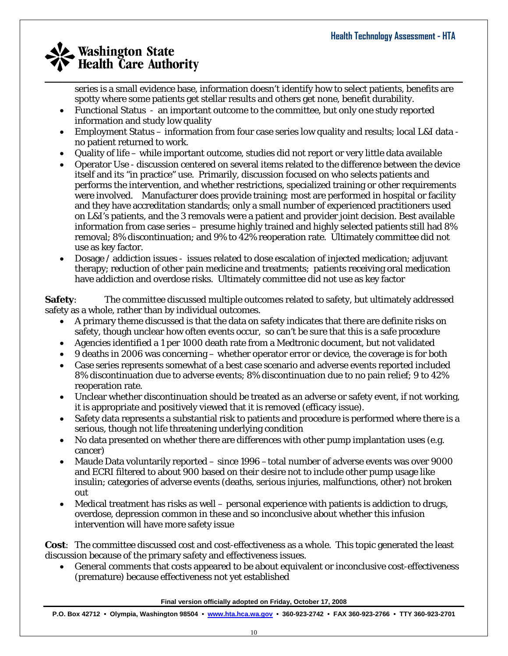series is a small evidence base, information doesn't identify how to select patients, benefits are spotty where some patients get stellar results and others get none, benefit durability.

• Functional Status - an important outcome to the committee, but only one study reported information and study low quality

 $\_$  , and the set of the set of the set of the set of the set of the set of the set of the set of the set of the set of the set of the set of the set of the set of the set of the set of the set of the set of the set of th

- Employment Status information from four case series low quality and results; local L&I data no patient returned to work.
- Quality of life while important outcome, studies did not report or very little data available
- Operator Use discussion centered on several items related to the difference between the device itself and its "in practice" use. Primarily, discussion focused on who selects patients and performs the intervention, and whether restrictions, specialized training or other requirements were involved. Manufacturer does provide training; most are performed in hospital or facility and they have accreditation standards; only a small number of experienced practitioners used on L&I's patients, and the 3 removals were a patient and provider joint decision. Best available information from case series – presume highly trained and highly selected patients still had 8% removal; 8% discontinuation; and 9% to 42% reoperation rate. Ultimately committee did not use as key factor.
- Dosage / addiction issues issues related to dose escalation of injected medication; adjuvant therapy; reduction of other pain medicine and treatments; patients receiving oral medication have addiction and overdose risks. Ultimately committee did not use as key factor

**Safety**: The committee discussed multiple outcomes related to safety, but ultimately addressed safety as a whole, rather than by individual outcomes.

- A primary theme discussed is that the data on safety indicates that there are definite risks on safety, though unclear how often events occur, so can't be sure that this is a safe procedure
- Agencies identified a 1 per 1000 death rate from a Medtronic document, but not validated
- 9 deaths in 2006 was concerning whether operator error or device, the coverage is for both
- Case series represents somewhat of a best case scenario and adverse events reported included 8% discontinuation due to adverse events; 8% discontinuation due to no pain relief; 9 to 42% reoperation rate.
- Unclear whether discontinuation should be treated as an adverse or safety event, if not working, it is appropriate and positively viewed that it is removed (efficacy issue).
- Safety data represents a substantial risk to patients and procedure is performed where there is a serious, though not life threatening underlying condition
- No data presented on whether there are differences with other pump implantation uses (e.g. cancer)
- Maude Data voluntarily reported since 1996 –total number of adverse events was over 9000 and ECRI filtered to about 900 based on their desire not to include other pump usage like insulin; categories of adverse events (deaths, serious injuries, malfunctions, other) not broken out
- Medical treatment has risks as well personal experience with patients is addiction to drugs, overdose, depression common in these and so inconclusive about whether this infusion intervention will have more safety issue

**Cost**: The committee discussed cost and cost-effectiveness as a whole. This topic generated the least discussion because of the primary safety and effectiveness issues.

• General comments that costs appeared to be about equivalent or inconclusive cost-effectiveness (premature) because effectiveness not yet established

**Final version officially adopted on Friday, October 17, 2008**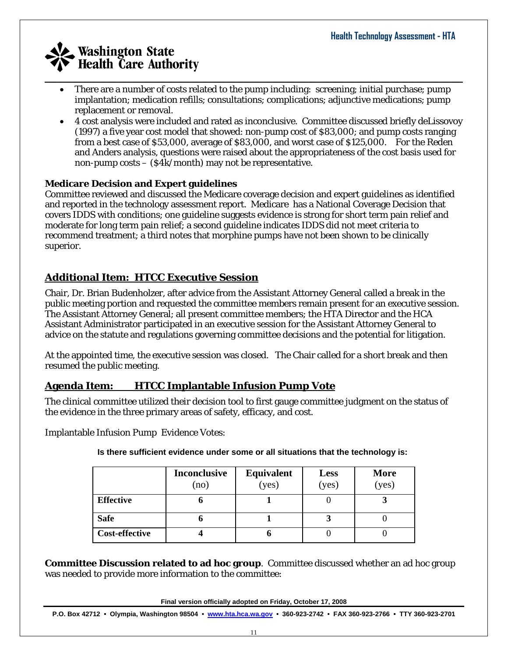- $\_$  , and the set of the set of the set of the set of the set of the set of the set of the set of the set of the set of the set of the set of the set of the set of the set of the set of the set of the set of the set of th • There are a number of costs related to the pump including: screening; initial purchase; pump implantation; medication refills; consultations; complications; adjunctive medications; pump replacement or removal.
	- 4 cost analysis were included and rated as inconclusive. Committee discussed briefly deLissovoy (1997) a five year cost model that showed: non-pump cost of \$83,000; and pump costs ranging from a best case of \$53,000, average of \$83,000, and worst case of \$125,000. For the Reden and Anders analysis, questions were raised about the appropriateness of the cost basis used for non-pump costs – (\$4k/month) may not be representative.

### **Medicare Decision and Expert guidelines**

Committee reviewed and discussed the Medicare coverage decision and expert guidelines as identified and reported in the technology assessment report. Medicare has a National Coverage Decision that covers IDDS with conditions; one guideline suggests evidence is strong for short term pain relief and moderate for long term pain relief; a second guideline indicates IDDS did not meet criteria to recommend treatment; a third notes that morphine pumps have not been shown to be clinically superior.

### **Additional Item: HTCC Executive Session**

Chair, Dr. Brian Budenholzer, after advice from the Assistant Attorney General called a break in the public meeting portion and requested the committee members remain present for an executive session. The Assistant Attorney General; all present committee members; the HTA Director and the HCA Assistant Administrator participated in an executive session for the Assistant Attorney General to advice on the statute and regulations governing committee decisions and the potential for litigation.

At the appointed time, the executive session was closed. The Chair called for a short break and then resumed the public meeting.

### **Agenda Item: HTCC Implantable Infusion Pump Vote**

The clinical committee utilized their decision tool to first gauge committee judgment on the status of the evidence in the three primary areas of safety, efficacy, and cost.

Implantable Infusion Pump Evidence Votes:

**Is there sufficient evidence under some or all situations that the technology is:** 

|                       | <b>Inconclusive</b><br>(no | Equivalent<br>(yes) | Less<br>(yes) | <b>More</b><br>(yes) |
|-----------------------|----------------------------|---------------------|---------------|----------------------|
| <b>Effective</b>      |                            |                     |               |                      |
| <b>Safe</b>           |                            |                     |               |                      |
| <b>Cost-effective</b> |                            |                     |               |                      |

**Committee Discussion related to ad hoc group**. Committee discussed whether an ad hoc group was needed to provide more information to the committee:

**Final version officially adopted on Friday, October 17, 2008**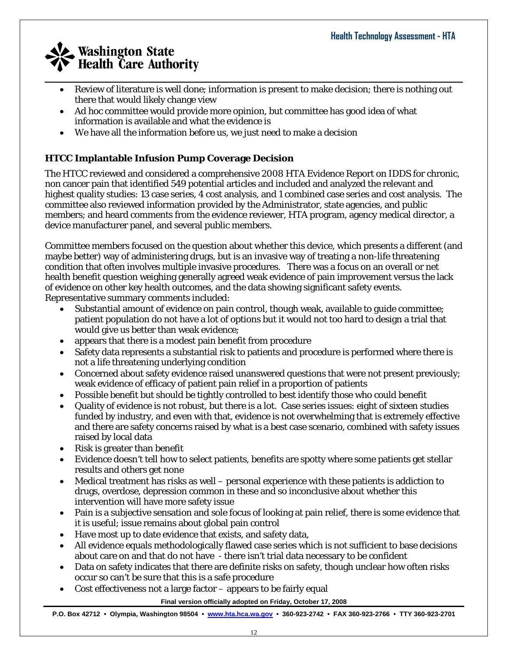- $\_$  , and the set of the set of the set of the set of the set of the set of the set of the set of the set of the set of the set of the set of the set of the set of the set of the set of the set of the set of the set of th • Review of literature is well done; information is present to make decision; there is nothing out there that would likely change view
	- Ad hoc committee would provide more opinion, but committee has good idea of what information is available and what the evidence is
	- We have all the information before us, we just need to make a decision

### **HTCC Implantable Infusion Pump Coverage Decision**

The HTCC reviewed and considered a comprehensive 2008 HTA Evidence Report on IDDS for chronic, non cancer pain that identified 549 potential articles and included and analyzed the relevant and highest quality studies: 13 case series, 4 cost analysis, and 1 combined case series and cost analysis. The committee also reviewed information provided by the Administrator, state agencies, and public members; and heard comments from the evidence reviewer, HTA program, agency medical director, a device manufacturer panel, and several public members.

Committee members focused on the question about whether this device, which presents a different (and maybe better) way of administering drugs, but is an invasive way of treating a non-life threatening condition that often involves multiple invasive procedures. There was a focus on an overall or net health benefit question weighing generally agreed weak evidence of pain improvement versus the lack of evidence on other key health outcomes, and the data showing significant safety events. Representative summary comments included:

- Substantial amount of evidence on pain control, though weak, available to guide committee; patient population do not have a lot of options but it would not too hard to design a trial that would give us better than weak evidence;
- appears that there is a modest pain benefit from procedure
- Safety data represents a substantial risk to patients and procedure is performed where there is not a life threatening underlying condition
- Concerned about safety evidence raised unanswered questions that were not present previously; weak evidence of efficacy of patient pain relief in a proportion of patients
- Possible benefit but should be tightly controlled to best identify those who could benefit
- Quality of evidence is not robust, but there is a lot. Case series issues: eight of sixteen studies funded by industry, and even with that, evidence is not overwhelming that is extremely effective and there are safety concerns raised by what is a best case scenario, combined with safety issues raised by local data
- Risk is greater than benefit
- Evidence doesn't tell how to select patients, benefits are spotty where some patients get stellar results and others get none
- Medical treatment has risks as well personal experience with these patients is addiction to drugs, overdose, depression common in these and so inconclusive about whether this intervention will have more safety issue
- Pain is a subjective sensation and sole focus of looking at pain relief, there is some evidence that it is useful; issue remains about global pain control
- Have most up to date evidence that exists, and safety data,
- All evidence equals methodologically flawed case series which is not sufficient to base decisions about care on and that do not have - there isn't trial data necessary to be confident
- Data on safety indicates that there are definite risks on safety, though unclear how often risks occur so can't be sure that this is a safe procedure
- Cost effectiveness not a large factor  $-$  appears to be fairly equal

#### **Final version officially adopted on Friday, October 17, 2008**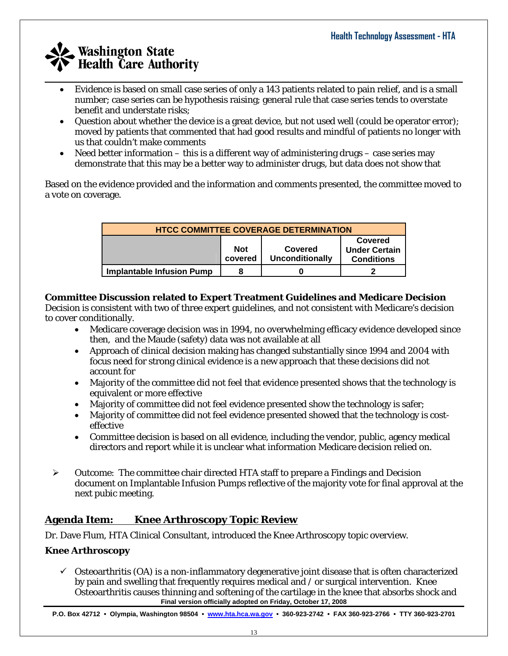- Evidence is based on small case series of only a 143 patients related to pain relief, and is a small number; case series can be hypothesis raising; general rule that case series tends to overstate benefit and understate risks;
- Question about whether the device is a great device, but not used well (could be operator error); moved by patients that commented that had good results and mindful of patients no longer with us that couldn't make comments
- Need better information this is a different way of administering drugs case series may demonstrate that this may be a better way to administer drugs, but data does not show that

Based on the evidence provided and the information and comments presented, the committee moved to a vote on coverage.

| <b>HTCC COMMITTEE COVERAGE DETERMINATION</b>                                                                                     |  |  |  |  |
|----------------------------------------------------------------------------------------------------------------------------------|--|--|--|--|
| <b>Covered</b><br><b>Not</b><br><b>Covered</b><br><b>Under Certain</b><br><b>Unconditionally</b><br><b>Conditions</b><br>covered |  |  |  |  |
| <b>Implantable Infusion Pump</b>                                                                                                 |  |  |  |  |

#### **Committee Discussion related to Expert Treatment Guidelines and Medicare Decision**

Decision is consistent with two of three expert guidelines, and not consistent with Medicare's decision to cover conditionally.

- Medicare coverage decision was in 1994, no overwhelming efficacy evidence developed since then, and the Maude (safety) data was not available at all
- Approach of clinical decision making has changed substantially since 1994 and 2004 with focus need for strong clinical evidence is a new approach that these decisions did not account for
- Majority of the committee did not feel that evidence presented shows that the technology is equivalent or more effective
- Majority of committee did not feel evidence presented show the technology is safer;
- Majority of committee did not feel evidence presented showed that the technology is costeffective
- Committee decision is based on all evidence, including the vendor, public, agency medical directors and report while it is unclear what information Medicare decision relied on.
- $\triangleright$  Outcome: The committee chair directed HTA staff to prepare a Findings and Decision document on Implantable Infusion Pumps reflective of the majority vote for final approval at the next pubic meeting.

### **Agenda Item: Knee Arthroscopy Topic Review**

Dr. Dave Flum, HTA Clinical Consultant, introduced the Knee Arthroscopy topic overview.

### **Knee Arthroscopy**

**Final version officially adopted on Friday, October 17, 2008**   $\checkmark$  Osteoarthritis (OA) is a non-inflammatory degenerative joint disease that is often characterized by pain and swelling that frequently requires medical and / or surgical intervention. Knee Osteoarthritis causes thinning and softening of the cartilage in the knee that absorbs shock and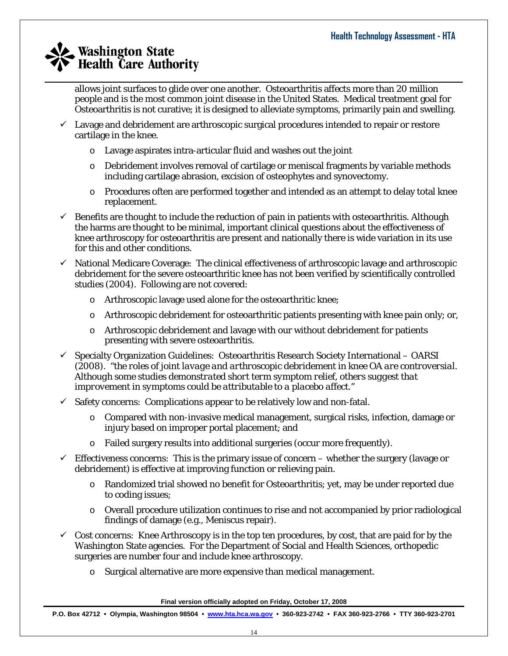allows joint surfaces to glide over one another. Osteoarthritis affects more than 20 million people and is the most common joint disease in the United States. Medical treatment goal for Osteoarthritis is not curative; it is designed to alleviate symptoms, primarily pain and swelling.

 $\checkmark$  Lavage and debridement are arthroscopic surgical procedures intended to repair or restore cartilage in the knee.

 $\_$  , and the set of the set of the set of the set of the set of the set of the set of the set of the set of the set of the set of the set of the set of the set of the set of the set of the set of the set of the set of th

- o Lavage aspirates intra-articular fluid and washes out the joint
- o Debridement involves removal of cartilage or meniscal fragments by variable methods including cartilage abrasion, excision of osteophytes and synovectomy.
- o Procedures often are performed together and intended as an attempt to delay total knee replacement.
- $\checkmark$  Benefits are thought to include the reduction of pain in patients with osteoarthritis. Although the harms are thought to be minimal, important clinical questions about the effectiveness of knee arthroscopy for osteoarthritis are present and nationally there is wide variation in its use for this and other conditions.
- $\checkmark$  National Medicare Coverage: The clinical effectiveness of arthroscopic lavage and arthroscopic debridement for the severe osteoarthritic knee has not been verified by scientifically controlled studies (2004). Following are not covered:
	- o Arthroscopic lavage used alone for the osteoarthritic knee;
	- $\circ$  Arthroscopic debridement for osteoarthritic patients presenting with knee pain only; or,
	- o Arthroscopic debridement and lavage with our without debridement for patients presenting with severe osteoarthritis.
- $\checkmark$  Specialty Organization Guidelines: Osteoarthritis Research Society International OARSI (2008). "*the roles of joint lavage and arthroscopic debridement in knee OA are controversial. Although some studies demonstrated short term symptom relief, others suggest that improvement in symptoms could be attributable to a placebo affect*."
- $\checkmark$  Safety concerns: Complications appear to be relatively low and non-fatal.
	- $\circ$  Compared with non-invasive medical management, surgical risks, infection, damage or injury based on improper portal placement; and
	- o Failed surgery results into additional surgeries (occur more frequently).
- $\checkmark$  Effectiveness concerns: This is the primary issue of concern whether the surgery (lavage or debridement) is effective at improving function or relieving pain.
	- o Randomized trial showed no benefit for Osteoarthritis; yet, may be under reported due to coding issues;
	- o Overall procedure utilization continues to rise and not accompanied by prior radiological findings of damage (e.g., Meniscus repair).
- $\checkmark$  Cost concerns: Knee Arthroscopy is in the top ten procedures, by cost, that are paid for by the Washington State agencies. For the Department of Social and Health Sciences, orthopedic surgeries are number four and include knee arthroscopy.
	- o Surgical alternative are more expensive than medical management.

**Final version officially adopted on Friday, October 17, 2008**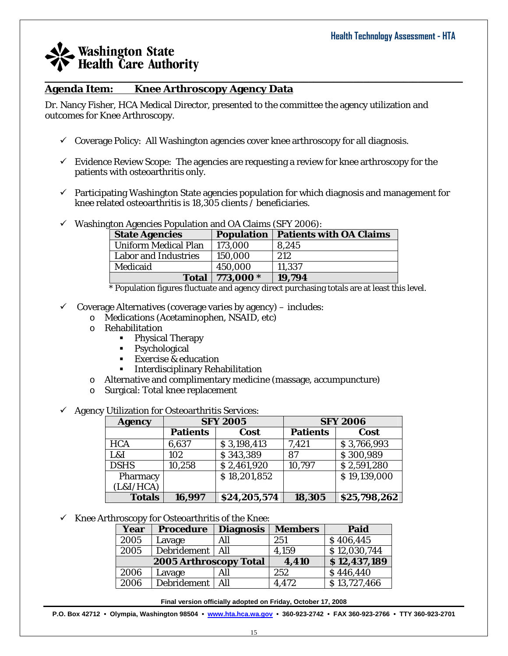#### **Agenda Item: Knee Arthroscopy Agency Data**

Dr. Nancy Fisher, HCA Medical Director, presented to the committee the agency utilization and outcomes for Knee Arthroscopy.

- $\checkmark$  Coverage Policy: All Washington agencies cover knee arthroscopy for all diagnosis.
- $\checkmark$  Evidence Review Scope: The agencies are requesting a review for knee arthroscopy for the patients with osteoarthritis only.

 $\_$  , and the set of the set of the set of the set of the set of the set of the set of the set of the set of the set of the set of the set of the set of the set of the set of the set of the set of the set of the set of th

 $\checkmark$  Participating Washington State agencies population for which diagnosis and management for knee related osteoarthritis is 18,305 clients / beneficiaries.

| <b>State Agencies</b>       | <b>Population</b> | <b>Patients with OA Claims</b> |
|-----------------------------|-------------------|--------------------------------|
| <b>Uniform Medical Plan</b> | 173,000           | 8,245                          |
| <b>Labor and Industries</b> | 150,000           | 212                            |
| Medicaid                    | 450,000           | 11,337                         |
| <b>Total</b>                | 773,000 *         | 19,794                         |

 $\checkmark$  Washington Agencies Population and OA Claims (SFV 2006):

\* Population figures fluctuate and agency direct purchasing totals are at least this level.

- $\checkmark$  Coverage Alternatives (coverage varies by agency) includes:
	- o Medications (Acetaminophen, NSAID, etc)
	- o Rehabilitation
		- Physical Therapy
		- **Psychological**
		- **Exercise & education**
		- **Interdisciplinary Rehabilitation**
	- o Alternative and complimentary medicine (massage, accumpuncture)
	- o Surgical: Total knee replacement
- $\checkmark$  Agency Utilization for Osteoarthritis Services:

| <b>Agency</b> | <b>SFY 2005</b> |              | <b>SFY 2006</b> |              |
|---------------|-----------------|--------------|-----------------|--------------|
|               | <b>Patients</b> | Cost         | <b>Patients</b> | Cost         |
| <b>HCA</b>    | 6,637           | \$3,198,413  | 7,421           | \$3,766,993  |
| L&I           | 102             | \$343,389    | 87              | \$300,989    |
| <b>DSHS</b>   | 10,258          | \$2,461,920  | 10,797          | \$2,591,280  |
| Pharmacy      |                 | \$18,201,852 |                 | \$19,139,000 |
| (L&I/HCA)     |                 |              |                 |              |
| <b>Totals</b> | 16,997          | \$24,205,574 | 18,305          | \$25,798,262 |

 $\checkmark$  Knee Arthroscopy for Osteoarthritis of the Knee:

| Year                   | <b>Procedure</b>   | <b>Diagnosis</b> | <b>Members</b> | Paid         |
|------------------------|--------------------|------------------|----------------|--------------|
| 2005                   | Lavage             | All              | 251            | \$406,445    |
| 2005                   | Debridement        | All              | 4,159          | \$12,030,744 |
| 2005 Arthroscopy Total |                    | 4,410            | \$12,437,189   |              |
| 2006                   | Lavage             | All              | 252            | \$446,440    |
| 2006                   | <b>Debridement</b> | All              | 4,472          | \$13,727,466 |

**Final version officially adopted on Friday, October 17, 2008**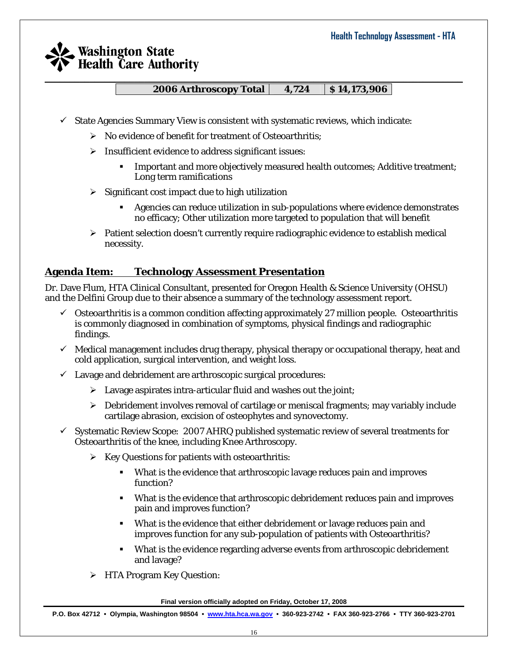**2006 Arthroscopy Total | 4,724 | \$14,173,906 |** 

 $\_$  , and the set of the set of the set of the set of the set of the set of the set of the set of the set of the set of the set of the set of the set of the set of the set of the set of the set of the set of the set of th

- $\checkmark$  State Agencies Summary View is consistent with systematic reviews, which indicate:
	- $\triangleright$  No evidence of benefit for treatment of Osteoarthritis:
	- $\triangleright$  Insufficient evidence to address significant issues:
		- Important and more objectively measured health outcomes; Additive treatment; Long term ramifications
	- $\triangleright$  Significant cost impact due to high utilization
		- Agencies can reduce utilization in sub-populations where evidence demonstrates no efficacy; Other utilization more targeted to population that will benefit
	- $\triangleright$  Patient selection doesn't currently require radiographic evidence to establish medical necessity.

### **Agenda Item: Technology Assessment Presentation**

Dr. Dave Flum, HTA Clinical Consultant, presented for Oregon Health & Science University (OHSU) and the Delfini Group due to their absence a summary of the technology assessment report.

- $\checkmark$  Osteoarthritis is a common condition affecting approximately 27 million people. Osteoarthritis is commonly diagnosed in combination of symptoms, physical findings and radiographic findings.
- $\checkmark$  Medical management includes drug therapy, physical therapy or occupational therapy, heat and cold application, surgical intervention, and weight loss.
- $\checkmark$  Lavage and debridement are arthroscopic surgical procedures:
	- $\triangleright$  Lavage aspirates intra-articular fluid and washes out the joint;
	- $\triangleright$  Debridement involves removal of cartilage or meniscal fragments; may variably include cartilage abrasion, excision of osteophytes and synovectomy.
- $\checkmark$  Systematic Review Scope: 2007 AHRQ published systematic review of several treatments for Osteoarthritis of the knee, including Knee Arthroscopy.
	- $\triangleright$  Key Questions for patients with osteoarthritis:
		- What is the evidence that arthroscopic lavage reduces pain and improves function?
		- What is the evidence that arthroscopic debridement reduces pain and improves pain and improves function?
		- What is the evidence that either debridement or lavage reduces pain and improves function for any sub-population of patients with Osteoarthritis?
		- What is the evidence regarding adverse events from arthroscopic debridement and lavage?
	- $\triangleright$  HTA Program Key Question:

**Final version officially adopted on Friday, October 17, 2008**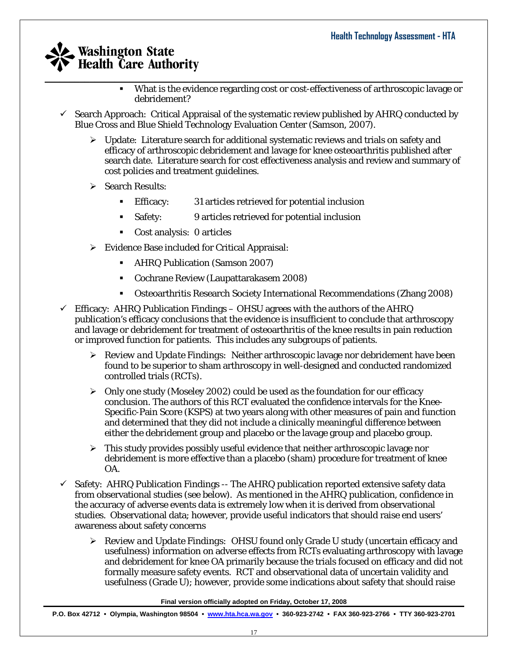- $\_$  , and the set of the set of the set of the set of the set of the set of the set of the set of the set of the set of the set of the set of the set of the set of the set of the set of the set of the set of the set of th What is the evidence regarding cost or cost-effectiveness of arthroscopic lavage or debridement?
	- 9 Search Approach: Critical Appraisal of the systematic review published by AHRQ conducted by Blue Cross and Blue Shield Technology Evaluation Center (Samson, 2007).
		- $\triangleright$  Update: Literature search for additional systematic reviews and trials on safety and efficacy of arthroscopic debridement and lavage for knee osteoarthritis published after search date. Literature search for cost effectiveness analysis and review and summary of cost policies and treatment guidelines.
		- $\triangleright$  Search Results:
			- Efficacy: 31 articles retrieved for potential inclusion
			- Safety: 9 articles retrieved for potential inclusion
			- Cost analysis: 0 articles
		- ¾ Evidence Base included for Critical Appraisal:
			- AHRQ Publication (Samson 2007)
			- Cochrane Review (Laupattarakasem 2008)
			- Osteoarthritis Research Society International Recommendations (Zhang 2008)
	- $\checkmark$  Efficacy: AHRQ Publication Findings OHSU agrees with the authors of the AHRQ publication's efficacy conclusions that the evidence is insufficient to conclude that arthroscopy and lavage or debridement for treatment of osteoarthritis of the knee results in pain reduction or improved function for patients. This includes any subgroups of patients.
		- ¾ *Review and Update Findings:* Neither arthroscopic lavage nor debridement have been found to be superior to sham arthroscopy in well-designed and conducted randomized controlled trials (RCTs).
		- $\geq$  Only one study (Moseley 2002) could be used as the foundation for our efficacy conclusion. The authors of this RCT evaluated the confidence intervals for the Knee-Specific-Pain Score (KSPS) at two years along with other measures of pain and function and determined that they did not include a clinically meaningful difference between either the debridement group and placebo or the lavage group and placebo group.
		- $\triangleright$  This study provides possibly useful evidence that neither arthroscopic lavage nor debridement is more effective than a placebo (sham) procedure for treatment of knee OA.
	- $\checkmark$  Safety: AHRQ Publication Findings -- The AHRQ publication reported extensive safety data from observational studies (see below). As mentioned in the AHRQ publication, confidence in the accuracy of adverse events data is extremely low when it is derived from observational studies. Observational data; however, provide useful indicators that should raise end users' awareness about safety concerns
		- ¾ *Review and Update Findings:* OHSU found only Grade U study (uncertain efficacy and usefulness) information on adverse effects from RCTs evaluating arthroscopy with lavage and debridement for knee OA primarily because the trials focused on efficacy and did not formally measure safety events. RCT and observational data of uncertain validity and usefulness (Grade U); however, provide some indications about safety that should raise

**Final version officially adopted on Friday, October 17, 2008**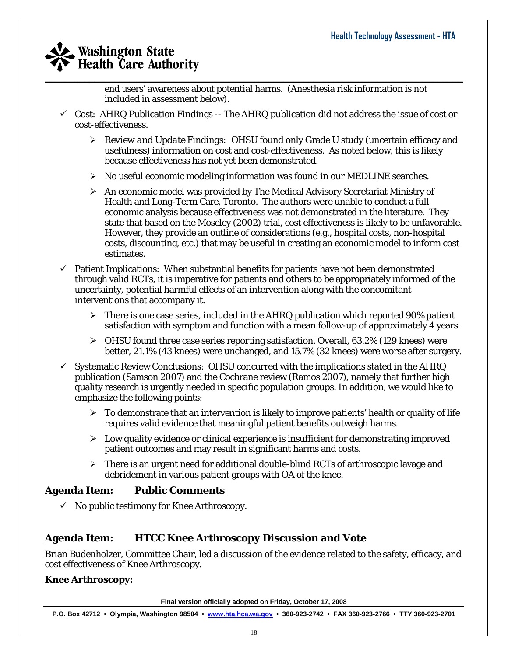end users' awareness about potential harms. (Anesthesia risk information is not included in assessment below).

- $\checkmark$  Cost: AHRQ Publication Findings -- The AHRQ publication did not address the issue of cost or cost-effectiveness.
	- ¾ *Review and Update Findings:* OHSU found only Grade U study (uncertain efficacy and usefulness) information on cost and cost-effectiveness. As noted below, this is likely because effectiveness has not yet been demonstrated.
	- $\triangleright$  No useful economic modeling information was found in our MEDLINE searches.
	- ¾ An economic model was provided by The Medical Advisory Secretariat Ministry of Health and Long-Term Care, Toronto. The authors were unable to conduct a full economic analysis because effectiveness was not demonstrated in the literature. They state that based on the Moseley (2002) trial, cost effectiveness is likely to be unfavorable. However, they provide an outline of considerations (e.g., hospital costs, non-hospital costs, discounting, etc.) that may be useful in creating an economic model to inform cost estimates.
- $\checkmark$  Patient Implications: When substantial benefits for patients have not been demonstrated through valid RCTs, it is imperative for patients and others to be appropriately informed of the uncertainty, potential harmful effects of an intervention along with the concomitant interventions that accompany it.
	- $\triangleright$  There is one case series, included in the AHRQ publication which reported 90% patient satisfaction with symptom and function with a mean follow-up of approximately 4 years.
	- $\triangleright$  OHSU found three case series reporting satisfaction. Overall, 63.2% (129 knees) were better, 21.1% (43 knees) were unchanged, and 15.7% (32 knees) were worse after surgery.
- $\checkmark$  Systematic Review Conclusions: OHSU concurred with the implications stated in the AHRQ publication (Samson 2007) and the Cochrane review (Ramos 2007), namely that further high quality research is urgently needed in specific population groups. In addition, we would like to emphasize the following points:
	- $\triangleright$  To demonstrate that an intervention is likely to improve patients' health or quality of life requires valid evidence that meaningful patient benefits outweigh harms.
	- $\triangleright$  Low quality evidence or clinical experience is insufficient for demonstrating improved patient outcomes and may result in significant harms and costs.
	- ¾ There is an urgent need for additional double-blind RCTs of arthroscopic lavage and debridement in various patient groups with OA of the knee.

### **Agenda Item: Public Comments**

 $\checkmark$  No public testimony for Knee Arthroscopy.

### **Agenda Item: HTCC Knee Arthroscopy Discussion and Vote**

Brian Budenholzer, Committee Chair, led a discussion of the evidence related to the safety, efficacy, and cost effectiveness of Knee Arthroscopy.

#### **Knee Arthroscopy:**

**Final version officially adopted on Friday, October 17, 2008**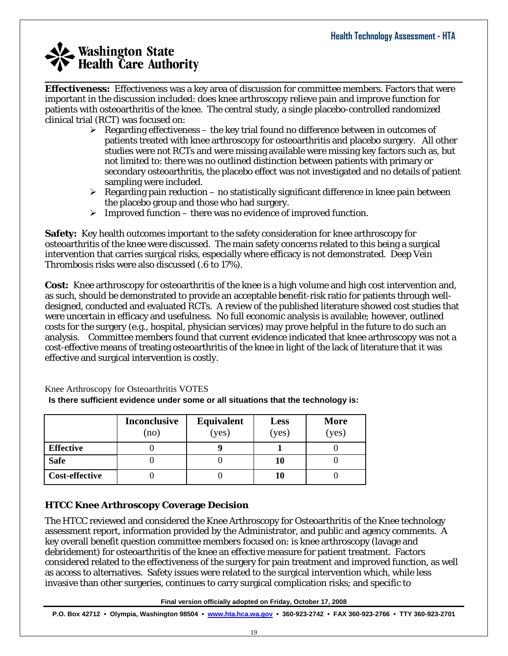**Effectiveness:** Effectiveness was a key area of discussion for committee members. Factors that were important in the discussion included: does knee arthroscopy relieve pain and improve function for patients with osteoarthritis of the knee. The central study, a single placebo-controlled randomized clinical trial (RCT) was focused on:

 $\_$  , and the set of the set of the set of the set of the set of the set of the set of the set of the set of the set of the set of the set of the set of the set of the set of the set of the set of the set of the set of th

- $\triangleright$  Regarding effectiveness the key trial found no difference between in outcomes of patients treated with knee arthroscopy for osteoarthritis and placebo surgery. All other studies were not RCTs and were missing available were missing key factors such as, but not limited to: there was no outlined distinction between patients with primary or secondary osteoarthritis, the placebo effect was not investigated and no details of patient sampling were included.
- $\triangleright$  Regarding pain reduction no statistically significant difference in knee pain between the placebo group and those who had surgery.
- $\triangleright$  Improved function there was no evidence of improved function.

**Safety:** Key health outcomes important to the safety consideration for knee arthroscopy for osteoarthritis of the knee were discussed. The main safety concerns related to this being a surgical intervention that carries surgical risks, especially where efficacy is not demonstrated. Deep Vein Thrombosis risks were also discussed (.6 to 17%).

**Cost:** Knee arthroscopy for osteoarthritis of the knee is a high volume and high cost intervention and, as such, should be demonstrated to provide an acceptable benefit-risk ratio for patients through welldesigned, conducted and evaluated RCTs. A review of the published literature showed cost studies that were uncertain in efficacy and usefulness. No full economic analysis is available; however, outlined costs for the surgery (e.g., hospital, physician services) may prove helpful in the future to do such an analysis. Committee members found that current evidence indicated that knee arthroscopy was not a cost-effective means of treating osteoarthritis of the knee in light of the lack of literature that it was effective and surgical intervention is costly.

|                  | <b>Inconclusive</b><br>(no | <b>Equivalent</b><br>(yes) | <b>Less</b><br>(yes) | <b>More</b><br>( <b>yes</b> ) |
|------------------|----------------------------|----------------------------|----------------------|-------------------------------|
| <b>Effective</b> |                            |                            |                      |                               |
| <b>Safe</b>      |                            |                            | 10                   |                               |
| Cost-effective   |                            |                            | 10                   |                               |

Knee Arthroscopy for Osteoarthritis VOTES **Is there sufficient evidence under some or all situations that the technology is:** 

#### **HTCC Knee Arthroscopy Coverage Decision**

The HTCC reviewed and considered the Knee Arthroscopy for Osteoarthritis of the Knee technology assessment report, information provided by the Administrator, and public and agency comments. A key overall benefit question committee members focused on: is knee arthroscopy (lavage and debridement) for osteoarthritis of the knee an effective measure for patient treatment. Factors considered related to the effectiveness of the surgery for pain treatment and improved function, as well as access to alternatives. Safety issues were related to the surgical intervention which, while less invasive than other surgeries, continues to carry surgical complication risks; and specific to

**Final version officially adopted on Friday, October 17, 2008**